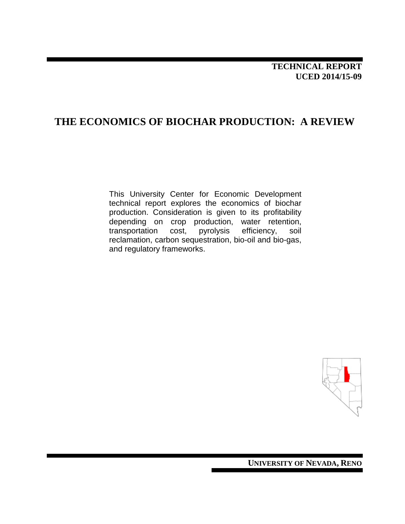## **TECHNICAL REPORT UCED 2014/15-09**

## **THE ECONOMICS OF BIOCHAR PRODUCTION: A REVIEW**

This University Center for Economic Development technical report explores the economics of biochar production. Consideration is given to its profitability depending on crop production, water retention,<br>transportation cost, pyrolysis efficiency, soil transportation cost, pyrolysis efficiency, soil reclamation, carbon sequestration, bio-oil and bio-gas, and regulatory frameworks.



**UNIVERSITY OF NEVADA, RENO**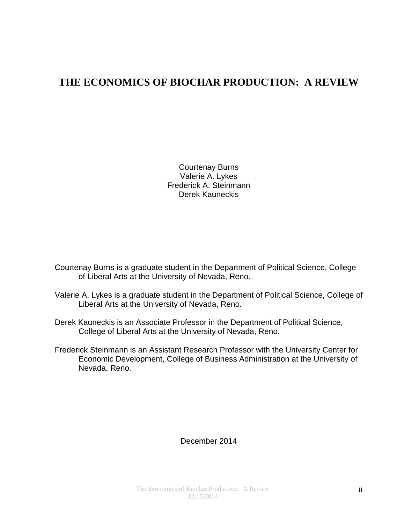# **THE ECONOMICS OF BIOCHAR PRODUCTION: A REVIEW**

Courtenay Burns Valerie A. Lykes Frederick A. Steinmann Derek Kauneckis

Courtenay Burns is a graduate student in the Department of Political Science, College of Liberal Arts at the University of Nevada, Reno.

- Valerie A. Lykes is a graduate student in the Department of Political Science, College of Liberal Arts at the University of Nevada, Reno.
- Derek Kauneckis is an Associate Professor in the Department of Political Science, College of Liberal Arts at the University of Nevada, Reno.
- Frederick Steinmann is an Assistant Research Professor with the University Center for Economic Development, College of Business Administration at the University of Nevada, Reno.

#### December 2014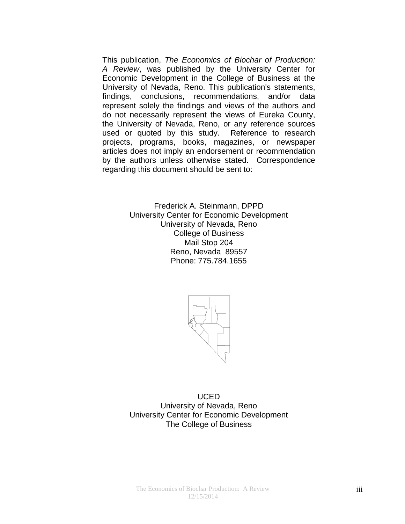This publication, *The Economics of Biochar of Production: A Review*, was published by the University Center for Economic Development in the College of Business at the University of Nevada, Reno. This publication's statements, findings, conclusions, recommendations, and/or data represent solely the findings and views of the authors and do not necessarily represent the views of Eureka County, the University of Nevada, Reno, or any reference sources used or quoted by this study. Reference to research projects, programs, books, magazines, or newspaper articles does not imply an endorsement or recommendation by the authors unless otherwise stated. Correspondence regarding this document should be sent to:

> Frederick A. Steinmann, DPPD University Center for Economic Development University of Nevada, Reno College of Business Mail Stop 204 Reno, Nevada 89557 Phone: 775.784.1655



UCED University of Nevada, Reno University Center for Economic Development The College of Business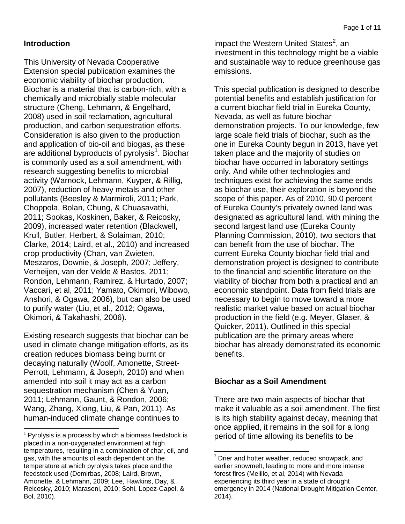## **Introduction**

This University of Nevada Cooperative Extension special publication examines the economic viability of biochar production. Biochar is a material that is carbon-rich, with a chemically and microbially stable molecular structure (Cheng, Lehmann, & Engelhard, 2008) used in soil reclamation, agricultural production, and carbon sequestration efforts. Consideration is also given to the production and application of bio-oil and biogas, as these are additional byproducts of pyrolysis<sup>[1](#page-3-0)</sup>. Biochar is commonly used as a soil amendment, with research suggesting benefits to microbial activity (Warnock, Lehmann, Kuyper, & Rillig, 2007), reduction of heavy metals and other pollutants (Beesley & Marmiroli, 2011; Park, Choppola, Bolan, Chung, & Chuasavathi, 2011; Spokas, Koskinen, Baker, & Reicosky, 2009), increased water retention (Blackwell, Krull, Butler, Herbert, & Solaiman, 2010; Clarke, 2014; Laird, et al., 2010) and increased crop productivity (Chan, van Zwieten, Meszaros, Downie, & Joseph, 2007; Jeffery, Verheijen, van der Velde & Bastos, 2011; Rondon, Lehmann, Ramirez, & Hurtado, 2007; Vaccari, et al, 2011; Yamato, Okimori, Wibowo, Anshori, & Ogawa, 2006), but can also be used to purify water (Liu, et al., 2012; Ogawa, Okimori, & Takahashi, 2006).

Existing research suggests that biochar can be used in climate change mitigation efforts, as its creation reduces biomass being burnt or decaying naturally (Woolf, Amonette, Street-Perrott, Lehmann, & Joseph, 2010) and when amended into soil it may act as a carbon sequestration mechanism (Chen & Yuan, 2011; Lehmann, Gaunt, & Rondon, 2006; Wang, Zhang, Xiong, Liu, & Pan, 2011). As human-induced climate change continues to

impact the Western United States<sup>[2](#page-3-1)</sup>, an investment in this technology might be a viable and sustainable way to reduce greenhouse gas emissions.

This special publication is designed to describe potential benefits and establish justification for a current biochar field trial in Eureka County, Nevada, as well as future biochar demonstration projects. To our knowledge, few large scale field trials of biochar, such as the one in Eureka County begun in 2013, have yet taken place and the majority of studies on biochar have occurred in laboratory settings only. And while other technologies and techniques exist for achieving the same ends as biochar use, their exploration is beyond the scope of this paper. As of 2010, 90.0 percent of Eureka County's privately owned land was designated as agricultural land, with mining the second largest land use (Eureka County Planning Commission, 2010), two sectors that can benefit from the use of biochar. The current Eureka County biochar field trial and demonstration project is designed to contribute to the financial and scientific literature on the viability of biochar from both a practical and an economic standpoint. Data from field trials are necessary to begin to move toward a more realistic market value based on actual biochar production in the field (e.g. Meyer, Glaser, & Quicker, 2011). Outlined in this special publication are the primary areas where biochar has already demonstrated its economic benefits.

## **Biochar as a Soil Amendment**

There are two main aspects of biochar that make it valuable as a soil amendment. The first is its high stability against decay, meaning that once applied, it remains in the soil for a long period of time allowing its benefits to be

<span id="page-3-1"></span><span id="page-3-0"></span> $1$  Pyrolysis is a process by which a biomass feedstock is placed in a non-oxygenated environment at high temperatures, resulting in a combination of char, oil, and gas, with the amounts of each dependent on the temperature at which pyrolysis takes place and the feedstock used (Demirbas, 2008; Laird, Brown, Amonette, & Lehmann, 2009; Lee, Hawkins, Day, & Reicosky, 2010; Maraseni, 2010; Sohi, Lopez-Capel, & Bol, 2010).

 $2$  Drier and hotter weather, reduced snowpack, and earlier snowmelt, leading to more and more intense forest fires (Melillo, et al, 2014) with Nevada experiencing its third year in a state of drought emergency in 2014 (National Drought Mitigation Center, 2014).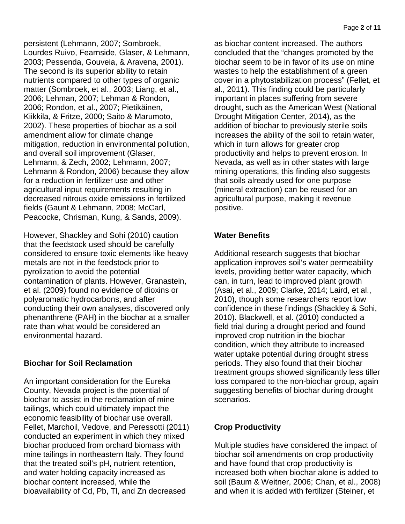persistent (Lehmann, 2007; Sombroek, Lourdes Ruivo, Fearnside, Glaser, & Lehmann, 2003; Pessenda, Gouveia, & Aravena, 2001). The second is its superior ability to retain nutrients compared to other types of organic matter (Sombroek, et al., 2003; Liang, et al., 2006; Lehman, 2007; Lehman & Rondon, 2006; Rondon, et al., 2007; Pietikäinen, Kiikkila, & Fritze, 2000; Saito & Marumoto, 2002). These properties of biochar as a soil amendment allow for climate change mitigation, reduction in environmental pollution, and overall soil improvement (Glaser, Lehmann, & Zech, 2002; Lehmann, 2007; Lehmann & Rondon, 2006) because they allow for a reduction in fertilizer use and other agricultural input requirements resulting in decreased nitrous oxide emissions in fertilized fields (Gaunt & Lehmann, 2008; McCarl, Peacocke, Chrisman, Kung, & Sands, 2009).

However, Shackley and Sohi (2010) caution that the feedstock used should be carefully considered to ensure toxic elements like heavy metals are not in the feedstock prior to pyrolization to avoid the potential contamination of plants. However, Granastein, et al. (2009) found no evidence of dioxins or polyaromatic hydrocarbons, and after conducting their own analyses, discovered only phenanthrene (PAH) in the biochar at a smaller rate than what would be considered an environmental hazard.

## **Biochar for Soil Reclamation**

An important consideration for the Eureka County, Nevada project is the potential of biochar to assist in the reclamation of mine tailings, which could ultimately impact the economic feasibility of biochar use overall. Fellet, Marchoil, Vedove, and Peressotti (2011) conducted an experiment in which they mixed biochar produced from orchard biomass with mine tailings in northeastern Italy. They found that the treated soil's pH, nutrient retention, and water holding capacity increased as biochar content increased, while the bioavailability of Cd, Pb, Tl, and Zn decreased

as biochar content increased. The authors concluded that the "changes promoted by the biochar seem to be in favor of its use on mine wastes to help the establishment of a green cover in a phytostabilization process" (Fellet, et al., 2011). This finding could be particularly important in places suffering from severe drought, such as the American West (National Drought Mitigation Center, 2014), as the addition of biochar to previously sterile soils increases the ability of the soil to retain water, which in turn allows for greater crop productivity and helps to prevent erosion. In Nevada, as well as in other states with large mining operations, this finding also suggests that soils already used for one purpose (mineral extraction) can be reused for an agricultural purpose, making it revenue positive.

## **Water Benefits**

Additional research suggests that biochar application improves soil's water permeability levels, providing better water capacity, which can, in turn, lead to improved plant growth (Asai, et al., 2009; Clarke, 2014; Laird, et al., 2010), though some researchers report low confidence in these findings (Shackley & Sohi, 2010). Blackwell, et al. (2010) conducted a field trial during a drought period and found improved crop nutrition in the biochar condition, which they attribute to increased water uptake potential during drought stress periods. They also found that their biochar treatment groups showed significantly less tiller loss compared to the non-biochar group, again suggesting benefits of biochar during drought scenarios.

## **Crop Productivity**

Multiple studies have considered the impact of biochar soil amendments on crop productivity and have found that crop productivity is increased both when biochar alone is added to soil (Baum & Weitner, 2006; Chan, et al., 2008) and when it is added with fertilizer (Steiner, et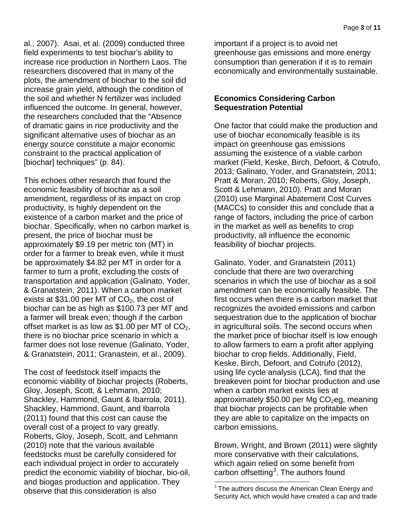al., 2007). Asai, et al. (2009) conducted three field experiments to test biochar's ability to increase rice production in Northern Laos. The researchers discovered that in many of the plots, the amendment of biochar to the soil did increase grain yield, although the condition of the soil and whether N fertilizer was included influenced the outcome. In general, however, the researchers concluded that the "Absence of dramatic gains in rice productivity and the significant alternative uses of biochar as an energy source constitute a major economic constraint to the practical application of [biochar] techniques" (p. 84).

This echoes other research that found the economic feasibility of biochar as a soil amendment, regardless of its impact on crop productivity, is highly dependent on the existence of a carbon market and the price of biochar. Specifically, when no carbon market is present, the price of biochar must be approximately \$9.19 per metric ton (MT) in order for a farmer to break even, while it must be approximately \$4.82 per MT in order for a farmer to turn a profit, excluding the costs of transportation and application (Galinato, Yoder, & Granatstein, 2011). When a carbon market exists at \$31.00 per MT of  $CO<sub>2</sub>$ , the cost of biochar can be as high as \$100.73 per MT and a farmer will break even; though if the carbon offset market is as low as \$1.00 per MT of  $CO<sub>2</sub>$ , there is no biochar price scenario in which a farmer does not lose revenue (Galinato, Yoder, & Granatstein, 2011; Granastein, et al., 2009).

<span id="page-5-0"></span>The cost of feedstock itself impacts the economic viability of biochar projects (Roberts, Gloy, Joseph, Scott, & Lehmann, 2010; Shackley, Hammond, Gaunt & Ibarrola, 2011). Shackley, Hammond, Gaunt, and Ibarrola (2011) found that this cost can cause the overall cost of a project to vary greatly. Roberts, Gloy, Joseph, Scott, and Lehmann (2010) note that the various available feedstocks must be carefully considered for each individual project in order to accurately predict the economic viability of biochar, bio-oil, and biogas production and application. They observe that this consideration is also

important if a project is to avoid net greenhouse gas emissions and more energy consumption than generation if it is to remain economically and environmentally sustainable.

#### **Economics Considering Carbon Sequestration Potential**

One factor that could make the production and use of biochar economically feasible is its impact on greenhouse gas emissions assuming the existence of a viable carbon market (Field, Keske, Birch, Defoort, & Cotrufo, 2013; Galinato, Yoder, and Granatstein, 2011; Pratt & Moran, 2010; Roberts, Gloy, Joseph, Scott & Lehmann, 2010). Pratt and Moran (2010) use Marginal Abatement Cost Curves (MACCs) to consider this and conclude that a range of factors, including the price of carbon in the market as well as benefits to crop productivity, all influence the economic feasibility of biochar projects.

Galinato, Yoder, and Granatstein (2011) conclude that there are two overarching scenarios in which the use of biochar as a soil amendment can be economically feasible. The first occurs when there is a carbon market that recognizes the avoided emissions and carbon sequestration due to the application of biochar in agricultural soils. The second occurs when the market price of biochar itself is low enough to allow farmers to earn a profit after applying biochar to crop fields. Additionally, Field, Keske, Birch, Defoort, and Cotrufo (2012), using life cycle analysis (LCA), find that the breakeven point for biochar production and use when a carbon market exists lies at approximately \$50.00 per Mg  $CO<sub>2</sub>$ eg, meaning that biochar projects can be profitable when they are able to capitalize on the impacts on carbon emissions.

Brown, Wright, and Brown (2011) were slightly more conservative with their calculations, which again relied on some benefit from carbon offsetting<sup>[3](#page-5-0)</sup>. The authors found

 $3$  The authors discuss the American Clean Energy and Security Act, which would have created a cap and trade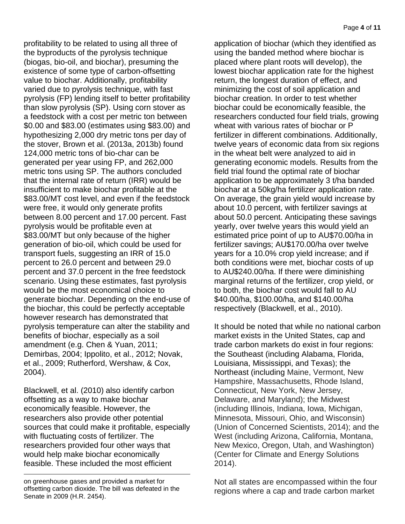Page **4** of **11**

profitability to be related to using all three of the byproducts of the pyrolysis technique (biogas, bio-oil, and biochar), presuming the existence of some type of carbon-offsetting value to biochar. Additionally, profitability varied due to pyrolysis technique, with fast pyrolysis (FP) lending itself to better profitability than slow pyrolysis (SP). Using corn stover as a feedstock with a cost per metric ton between \$0.00 and \$83.00 (estimates using \$83.00) and hypothesizing 2,000 dry metric tons per day of the stover, Brown et al. (2013a, 2013b) found 124,000 metric tons of bio-char can be generated per year using FP, and 262,000 metric tons using SP. The authors concluded that the internal rate of return (IRR) would be insufficient to make biochar profitable at the \$83.00/MT cost level, and even if the feedstock were free, it would only generate profits between 8.00 percent and 17.00 percent. Fast pyrolysis would be profitable even at \$83.00/MT but only because of the higher generation of bio-oil, which could be used for transport fuels, suggesting an IRR of 15.0 percent to 26.0 percent and between 29.0 percent and 37.0 percent in the free feedstock scenario. Using these estimates, fast pyrolysis would be the most economical choice to generate biochar. Depending on the end-use of the biochar, this could be perfectly acceptable however research has demonstrated that pyrolysis temperature can alter the stability and benefits of biochar, especially as a soil amendment (e.g. Chen & Yuan, 2011; Demirbas, 2004; Ippolito, et al., 2012; Novak, et al., 2009; Rutherford, Wershaw, & Cox, 2004).

Blackwell, et al. (2010) also identify carbon offsetting as a way to make biochar economically feasible. However, the researchers also provide other potential sources that could make it profitable, especially with fluctuating costs of fertilizer. The researchers provided four other ways that would help make biochar economically feasible. These included the most efficient

 $\overline{a}$ 

application of biochar (which they identified as using the banded method where biochar is placed where plant roots will develop), the lowest biochar application rate for the highest return, the longest duration of effect, and minimizing the cost of soil application and biochar creation. In order to test whether biochar could be economically feasible, the researchers conducted four field trials, growing wheat with various rates of biochar or P fertilizer in different combinations. Additionally, twelve years of economic data from six regions in the wheat belt were analyzed to aid in generating economic models. Results from the field trial found the optimal rate of biochar application to be approximately 3 t/ha banded biochar at a 50kg/ha fertilizer application rate. On average, the grain yield would increase by about 10.0 percent, with fertilizer savings at about 50.0 percent. Anticipating these savings yearly, over twelve years this would yield an estimated price point of up to AU\$70.00/ha in fertilizer savings; AU\$170.00/ha over twelve years for a 10.0% crop yield increase; and if both conditions were met, biochar costs of up to AU\$240.00/ha. If there were diminishing marginal returns of the fertilizer, crop yield, or to both, the biochar cost would fall to AU \$40.00/ha, \$100.00/ha, and \$140.00/ha respectively (Blackwell, et al., 2010).

It should be noted that while no national carbon market exists in the United States, cap and trade carbon markets do exist in four regions: the Southeast (including Alabama, Florida, Louisiana, Mississippi, and Texas); the Northeast (including Maine, Vermont, New Hampshire, Massachusetts, Rhode Island, Connecticut, New York, New Jersey, Delaware, and Maryland); the Midwest (including Illinois, Indiana, Iowa, Michigan, Minnesota, Missouri, Ohio, and Wisconsin) (Union of Concerned Scientists, 2014); and the West (including Arizona, California, Montana, New Mexico, Oregon, Utah, and Washington) (Center for Climate and Energy Solutions 2014).

Not all states are encompassed within the four regions where a cap and trade carbon market

on greenhouse gases and provided a market for offsetting carbon dioxide. The bill was defeated in the Senate in 2009 (H.R. 2454).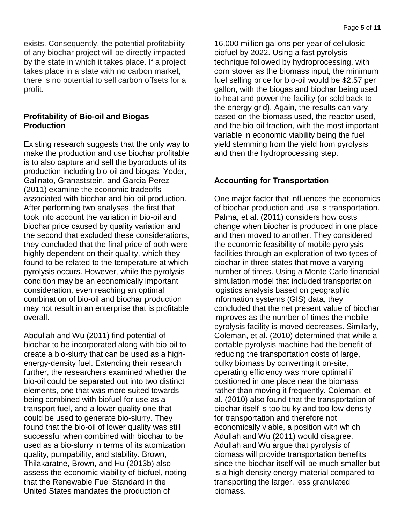Page **5** of **11**

exists. Consequently, the potential profitability of any biochar project will be directly impacted by the state in which it takes place. If a project takes place in a state with no carbon market, there is no potential to sell carbon offsets for a profit.

#### **Profitability of Bio-oil and Biogas Production**

Existing research suggests that the only way to make the production and use biochar profitable is to also capture and sell the byproducts of its production including bio-oil and biogas. Yoder, Galinato, Granaststein, and Garcia-Perez (2011) examine the economic tradeoffs associated with biochar and bio-oil production. After performing two analyses, the first that took into account the variation in bio-oil and biochar price caused by quality variation and the second that excluded these considerations, they concluded that the final price of both were highly dependent on their quality, which they found to be related to the temperature at which pyrolysis occurs. However, while the pyrolysis condition may be an economically important consideration, even reaching an optimal combination of bio-oil and biochar production may not result in an enterprise that is profitable overall.

Abdullah and Wu (2011) find potential of biochar to be incorporated along with bio-oil to create a bio-slurry that can be used as a highenergy-density fuel. Extending their research further, the researchers examined whether the bio-oil could be separated out into two distinct elements, one that was more suited towards being combined with biofuel for use as a transport fuel, and a lower quality one that could be used to generate bio-slurry. They found that the bio-oil of lower quality was still successful when combined with biochar to be used as a bio-slurry in terms of its atomization quality, pumpability, and stability. Brown, Thilakaratne, Brown, and Hu (2013b) also assess the economic viability of biofuel, noting that the Renewable Fuel Standard in the United States mandates the production of

16,000 million gallons per year of cellulosic biofuel by 2022. Using a fast pyrolysis technique followed by hydroprocessing, with corn stover as the biomass input, the minimum fuel selling price for bio-oil would be \$2.57 per gallon, with the biogas and biochar being used to heat and power the facility (or sold back to the energy grid). Again, the results can vary based on the biomass used, the reactor used, and the bio-oil fraction, with the most important variable in economic viability being the fuel yield stemming from the yield from pyrolysis and then the hydroprocessing step.

## **Accounting for Transportation**

One major factor that influences the economics of biochar production and use is transportation. Palma, et al. (2011) considers how costs change when biochar is produced in one place and then moved to another. They considered the economic feasibility of mobile pyrolysis facilities through an exploration of two types of biochar in three states that move a varying number of times. Using a Monte Carlo financial simulation model that included transportation logistics analysis based on geographic information systems (GIS) data, they concluded that the net present value of biochar improves as the number of times the mobile pyrolysis facility is moved decreases. Similarly, Coleman, et al. (2010) determined that while a portable pyrolysis machine had the benefit of reducing the transportation costs of large, bulky biomass by converting it on-site, operating efficiency was more optimal if positioned in one place near the biomass rather than moving it frequently. Coleman, et al. (2010) also found that the transportation of biochar itself is too bulky and too low-density for transportation and therefore not economically viable, a position with which Adullah and Wu (2011) would disagree. Adullah and Wu argue that pyrolysis of biomass will provide transportation benefits since the biochar itself will be much smaller but is a high density energy material compared to transporting the larger, less granulated biomass.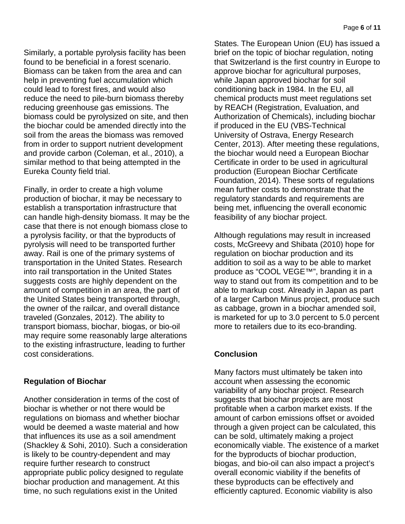Similarly, a portable pyrolysis facility has been found to be beneficial in a forest scenario. Biomass can be taken from the area and can help in preventing fuel accumulation which could lead to forest fires, and would also reduce the need to pile-burn biomass thereby reducing greenhouse gas emissions. The biomass could be pyrolysized on site, and then the biochar could be amended directly into the soil from the areas the biomass was removed from in order to support nutrient development and provide carbon (Coleman, et al., 2010), a similar method to that being attempted in the Eureka County field trial.

Finally, in order to create a high volume production of biochar, it may be necessary to establish a transportation infrastructure that can handle high-density biomass. It may be the case that there is not enough biomass close to a pyrolysis facility, or that the byproducts of pyrolysis will need to be transported further away. Rail is one of the primary systems of transportation in the United States. Research into rail transportation in the United States suggests costs are highly dependent on the amount of competition in an area, the part of the United States being transported through, the owner of the railcar, and overall distance traveled (Gonzales, 2012). The ability to transport biomass, biochar, biogas, or bio-oil may require some reasonably large alterations to the existing infrastructure, leading to further cost considerations.

## **Regulation of Biochar**

Another consideration in terms of the cost of biochar is whether or not there would be regulations on biomass and whether biochar would be deemed a waste material and how that influences its use as a soil amendment (Shackley & Sohi, 2010). Such a consideration is likely to be country-dependent and may require further research to construct appropriate public policy designed to regulate biochar production and management. At this time, no such regulations exist in the United

States. The European Union (EU) has issued a brief on the topic of biochar regulation, noting that Switzerland is the first country in Europe to approve biochar for agricultural purposes, while Japan approved biochar for soil conditioning back in 1984. In the EU, all chemical products must meet regulations set by REACH (Registration, Evaluation, and Authorization of Chemicals), including biochar if produced in the EU (VBS-Technical University of Ostrava, Energy Research Center, 2013). After meeting these regulations, the biochar would need a European Biochar Certificate in order to be used in agricultural production (European Biochar Certificate Foundation, 2014). These sorts of regulations mean further costs to demonstrate that the regulatory standards and requirements are being met, influencing the overall economic feasibility of any biochar project.

Although regulations may result in increased costs, McGreevy and Shibata (2010) hope for regulation on biochar production and its addition to soil as a way to be able to market produce as "COOL VEGE™", branding it in a way to stand out from its competition and to be able to markup cost. Already in Japan as part of a larger Carbon Minus project, produce such as cabbage, grown in a biochar amended soil, is marketed for up to 3.0 percent to 5.0 percent more to retailers due to its eco-branding.

## **Conclusion**

Many factors must ultimately be taken into account when assessing the economic variability of any biochar project. Research suggests that biochar projects are most profitable when a carbon market exists. If the amount of carbon emissions offset or avoided through a given project can be calculated, this can be sold, ultimately making a project economically viable. The existence of a market for the byproducts of biochar production, biogas, and bio-oil can also impact a project's overall economic viability if the benefits of these byproducts can be effectively and efficiently captured. Economic viability is also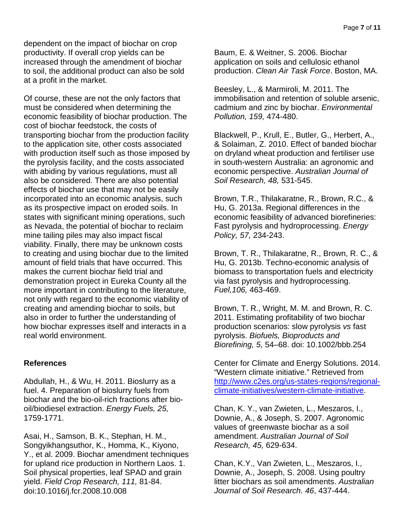dependent on the impact of biochar on crop productivity. If overall crop yields can be increased through the amendment of biochar to soil, the additional product can also be sold at a profit in the market.

Of course, these are not the only factors that must be considered when determining the economic feasibility of biochar production. The cost of biochar feedstock, the costs of transporting biochar from the production facility to the application site, other costs associated with production itself such as those imposed by the pyrolysis facility, and the costs associated with abiding by various regulations, must all also be considered. There are also potential effects of biochar use that may not be easily incorporated into an economic analysis, such as its prospective impact on eroded soils. In states with significant mining operations, such as Nevada, the potential of biochar to reclaim mine tailing piles may also impact fiscal viability. Finally, there may be unknown costs to creating and using biochar due to the limited amount of field trials that have occurred. This makes the current biochar field trial and demonstration project in Eureka County all the more important in contributing to the literature, not only with regard to the economic viability of creating and amending biochar to soils, but also in order to further the understanding of how biochar expresses itself and interacts in a real world environment.

## **References**

Abdullah, H., & Wu, H. 2011. Bioslurry as a fuel. 4. Preparation of bioslurry fuels from biochar and the bio-oil-rich fractions after biooil/biodiesel extraction. *Energy Fuels, 25,*  1759-1771.

Asai, H., Samson, B. K., Stephan, H. M., Songyikhangsuthor, K., Homma, K., Kiyono, Y., et al. 2009. Biochar amendment techniques for upland rice production in Northern Laos. 1. Soil physical properties, leaf SPAD and grain yield. *Field Crop Research, 111,* 81-84. doi:10.1016/j.fcr.2008.10.008

Baum, E. & Weitner, S. 2006. Biochar application on soils and cellulosic ethanol production. *Clean Air Task Force*. Boston, MA.

Beesley, L., & Marmiroli, M. 2011. The immobilisation and retention of soluble arsenic, cadmium and zinc by biochar. *Environmental Pollution, 159,* 474-480.

Blackwell, P., Krull, E., Butler, G., Herbert, A., & Solaiman, Z. 2010. Effect of banded biochar on dryland wheat production and fertiliser use in south-western Australia: an agronomic and economic perspective. *Australian Journal of Soil Research, 48,* 531-545.

Brown, T.R., Thilakaratne, R., Brown, R.C., & Hu, G. 2013a. Regional differences in the economic feasibility of advanced biorefineries: Fast pyrolysis and hydroprocessing. *Energy Policy, 57,* 234-243.

Brown, T. R., Thilakaratne, R., Brown, R. C., & Hu, G. 2013b. Techno-economic analysis of biomass to transportation fuels and electricity via fast pyrolysis and hydroprocessing. *Fuel,106,* 463-469.

Brown, T. R., Wright, M. M. and Brown, R. C. 2011. Estimating profitability of two biochar production scenarios: slow pyrolysis *vs* fast pyrolysis. *Biofuels, Bioproducts and Biorefining, 5,* 54–68. doi: 10.1002/bbb.254

Center for Climate and Energy Solutions. 2014. "Western climate initiative." Retrieved from [http://www.c2es.org/us-states-regions/regional](http://www.c2es.org/us-states-regions/regional-climate-initiatives/western-climate-initiative)[climate-initiatives/western-climate-initiative.](http://www.c2es.org/us-states-regions/regional-climate-initiatives/western-climate-initiative)

Chan, K. Y., van Zwieten, L., Meszaros, I., Downie, A., & Joseph, S. 2007. Agronomic values of greenwaste biochar as a soil amendment. *Australian Journal of Soil Research, 45,* 629-634.

Chan, K.Y., Van Zwieten, L., Meszaros, I., Downie, A., Joseph, S. 2008. Using poultry litter biochars as soil amendments. *Australian Journal of Soil Research. 46*, 437-444.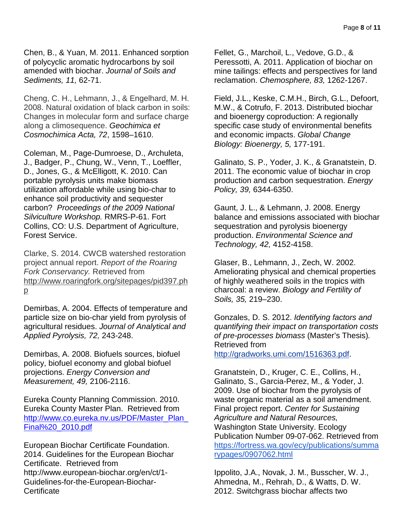Chen, B., & Yuan, M. 2011. Enhanced sorption of polycyclic aromatic hydrocarbons by soil amended with biochar. *Journal of Soils and Sediments, 11,* 62-71.

Cheng, C. H., Lehmann, J., & Engelhard, M. H. 2008. Natural oxidation of black carbon in soils: Changes in molecular form and surface charge along a climosequence. *Geochimica et Cosmochimica Acta, 72*, 1598–1610.

Coleman, M., Page-Dumroese, D., Archuleta, J., Badger, P., Chung, W., Venn, T., Loeffler, D., Jones, G., & McElligott, K. 2010. Can portable pyrolysis units make biomass utilization affordable while using bio-char to enhance soil productivity and sequester carbon? *Proceedings of the 2009 National Silviculture Workshop.* RMRS-P-61. Fort Collins, CO: U.S. Department of Agriculture, Forest Service.

Clarke, S. 2014. CWCB watershed restoration project annual report. *Report of the Roaring Fork Conservancy.* Retrieved fro[m](http://www.roaringfork.org/sitepages/pid397.php) [http://www.roaringfork.org/sitepages/pid397.ph](http://www.roaringfork.org/sitepages/pid397.php) [p](http://www.roaringfork.org/sitepages/pid397.php)

Demirbas, A. 2004. Effects of temperature and particle size on bio-char yield from pyrolysis of agricultural residues. *Journal of Analytical and Applied Pyrolysis, 72,* 243-248.

Demirbas, A. 2008. Biofuels sources, biofuel policy, biofuel economy and global biofuel projections. *Energy Conversion and Measurement, 49,* 2106-2116.

Eureka County Planning Commission. 2010. Eureka County Master Plan. Retrieved from [http://www.co.eureka.nv.us/PDF/Master\\_Plan\\_](http://www.co.eureka.nv.us/PDF/Master_Plan_Final%20_2010.pdf) [Final%20\\_2010.pdf](http://www.co.eureka.nv.us/PDF/Master_Plan_Final%20_2010.pdf)

European Biochar Certificate Foundation. 2014. Guidelines for the European Biochar Certificate. Retrieved from http://www.european-biochar.org/en/ct/1- Guidelines-for-the-European-Biochar-**Certificate** 

Fellet, G., Marchoil, L., Vedove, G.D., & Peressotti, A. 2011. Application of biochar on mine tailings: effects and perspectives for land reclamation. *Chemosphere, 83,* 1262-1267.

Field, J.L., Keske, C.M.H., Birch, G.L., Defoort, M.W., & Cotrufo, F. 2013. Distributed biochar and bioenergy coproduction: A regionally specific case study of environmental benefits and economic impacts. *Global Change Biology: Bioenergy, 5,* 177-191.

Galinato, S. P., Yoder, J. K., & Granatstein, D. 2011. The economic value of biochar in crop production and carbon sequestration. *Energy Policy, 39,* 6344-6350.

Gaunt, J. L., & Lehmann, J. 2008. Energy balance and emissions associated with biochar sequestration and pyrolysis bioenergy production. *Environmental Science and Technology, 42,* 4152-4158.

Glaser, B., Lehmann, J., Zech, W. 2002. Ameliorating physical and chemical properties of highly weathered soils in the tropics with charcoal: a review. *Biology and Fertility of Soils, 35,* 219–230.

Gonzales, D. S. 2012. *Identifying factors and quantifying their impact on transportation costs of pre-processes biomass* [\(Master's Thesis\)](http://gradworks.umi.com/1516363.pdf)*.*  Retrieved from

[http://gradworks.umi.com/1516363.pdf.](http://gradworks.umi.com/1516363.pdf)

Granatstein, D., Kruger, C. E., Collins, H., Galinato, S., Garcia-Perez, M., & Yoder, J. 2009. Use of biochar from the pyrolysis of waste organic material as a soil amendment. Final project report. *Center for Sustaining Agriculture and Natural Resources,*  Washington State University. Ecology Publication Number 09-07-062. Retrieved fro[m](https://fortress.wa.gov/ecy/publications/summarypages/0907062.html) [https://fortress.wa.gov/ecy/publications/summa](https://fortress.wa.gov/ecy/publications/summarypages/0907062.html) [rypages/0907062.html](https://fortress.wa.gov/ecy/publications/summarypages/0907062.html)

Ippolito, J.A., Novak, J. M., Busscher, W. J., Ahmedna, M., Rehrah, D., & Watts, D. W. 2012. Switchgrass biochar affects two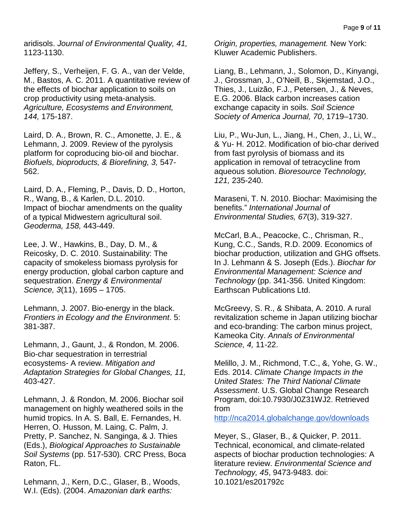aridisols. *Journal of Environmental Quality, 41,*  1123-1130.

Jeffery, S., Verheijen, F. G. A., van der Velde, M., Bastos, A. C. 2011. A quantitative review of the effects of biochar application to soils on crop productivity using meta-analysis. *Agriculture, Ecosystems and Environment, 144,* 175-187.

Laird, D. A., Brown, R. C., Amonette, J. E., & Lehmann, J. 2009. Review of the pyrolysis platform for coproducing bio-oil and biochar. *Biofuels, bioproducts, & Biorefining, 3,* 547- 562.

Laird, D. A., Fleming, P., Davis, D. D., Horton, R., Wang, B., & Karlen, D.L. 2010. Impact of biochar amendments on the quality of a typical Midwestern agricultural soil. *Geoderma, 158,* 443-449.

Lee, J. W., Hawkins, B., Day, D. M., & Reicosky, D. C. 2010. Sustainability: The capacity of smokeless biomass pyrolysis for energy production, global carbon capture and sequestration. *Energy & Environmental Science, 3*(11), 1695 – 1705.

Lehmann, J. 2007. Bio-energy in the black. *Frontiers in Ecology and the Environment*. 5: 381-387.

Lehmann, J., Gaunt, J., & Rondon, M. 2006. Bio-char sequestration in terrestrial ecosystems- A review. *Mitigation and Adaptation Strategies for Global Changes, 11,*  403-427.

Lehmann, J. & Rondon, M. 2006. Biochar soil management on highly weathered soils in the humid tropics. In A. S. Ball, E. Fernandes, H. Herren, O. Husson, M. Laing, C. Palm, J. Pretty, P. Sanchez, N. Sanginga, & J. Thies (Eds.), *Biological Approaches to Sustainable Soil Systems* (pp. 517-530)*.* CRC Press, Boca Raton, FL.

Lehmann, J., Kern, D.C., Glaser, B., Woods, W.I. (Eds). (2004. *Amazonian dark earths:* 

*Origin, properties, management.* New York: Kluwer Academic Publishers.

Liang, B., Lehmann, J., Solomon, D., Kinyangi, J., Grossman, J., O'Neill, B., Skjemstad, J.O., Thies, J., Luizão, F.J., Petersen, J., & Neves, E.G. 2006. Black carbon increases cation exchange capacity in soils. *Soil Science Society of America Journal, 70*, 1719–1730.

Liu, P., Wu-Jun, L., Jiang, H., Chen, J., Li, W., & Yu- H. 2012. Modification of bio-char derived from fast pyrolysis of biomass and its application in removal of tetracycline from aqueous solution. *Bioresource Technology, 121,* 235-240.

Maraseni, T. N. 2010. Biochar: Maximising the benefits." *International Journal of Environmental Studies, 67*(3), 319-327.

McCarl, B.A., Peacocke, C., Chrisman, R., Kung, C.C., Sands, R.D. 2009. Economics of biochar production, utilization and GHG offsets. In J. Lehmann & S. Joseph (Eds.). *Biochar for Environmental Management: Science and Technology* (pp. 341-356*.* United Kingdom: Earthscan Publications Ltd.

McGreevy, S. R., & Shibata, A. 2010. A rural revitalization scheme in Japan utilizing biochar and eco-branding: The carbon minus project, Kameoka City. *Annals of Environmental Science, 4,* 11-22.

Melillo, J. M., Richmond, T.C., &, Yohe, G. W., Eds. 2014. *Climate Change Impacts in the United States: The Third National Climate Assessment*. U.S. Global Change Research Program, doi:10.7930/J0Z31WJ2. Retrieved fro[m](http://nca2014.globalchange.gov/downloads)

<http://nca2014.globalchange.gov/downloads>

Meyer, S., Glaser, B., & Quicker, P. 2011. Technical, economical, and climate-related aspects of biochar production technologies: A literature review. *Environmental Science and Technology, 45*, 9473-9483. doi: 10.1021/es201792c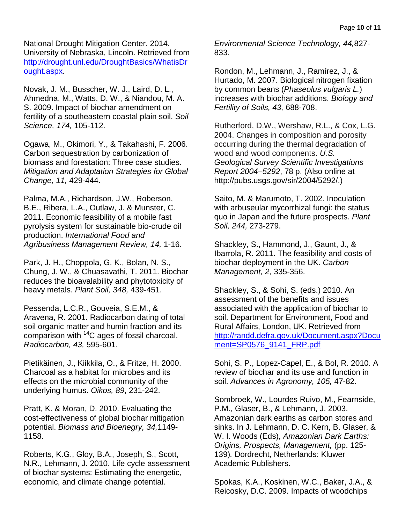National Drought Mitigation Center. 2014. University of Nebraska, Lincoln. Retrieved from [http://drought.unl.edu/DroughtBasics/WhatisDr](http://drought.unl.edu/DroughtBasics/WhatisDrought.aspx) [ought.aspx.](http://drought.unl.edu/DroughtBasics/WhatisDrought.aspx)

Novak, J. M., Busscher, W. J., Laird, D. L., Ahmedna, M., Watts, D. W., & Niandou, M. A. S. 2009. Impact of biochar amendment on fertility of a southeastern coastal plain soil. *Soil Science, 174,* 105-112.

Ogawa, M., Okimori, Y., & Takahashi, F. 2006. Carbon sequestration by carbonization of biomass and forestation: Three case studies. *Mitigation and Adaptation Strategies for Global Change, 11,* 429-444.

Palma, M.A., Richardson, J.W., Roberson, B.E., Ribera, L.A., Outlaw, J. & Munster, C. 2011. Economic feasibility of a mobile fast pyrolysis system for sustainable bio-crude oil production. *International Food and Agribusiness Management Review, 14,* 1-16.

Park, J. H., Choppola, G. K., Bolan, N. S., Chung, J. W., & Chuasavathi, T. 2011. Biochar reduces the bioavalability and phytotoxicity of heavy metals. *Plant Soil, 348,* 439-451.

Pessenda, L.C.R., Gouveia, S.E.M., & Aravena, R. 2001. Radiocarbon dating of total soil organic matter and humin fraction and its comparison with 14C ages of fossil charcoal. *Radiocarbon, 43,* 595-601.

Pietikäinen, J., Kiikkila, O., & Fritze, H. 2000. Charcoal as a habitat for microbes and its effects on the microbial community of the underlying humus. *Oikos, 89*, 231-242.

Pratt, K. & Moran, D. 2010. Evaluating the cost-effectiveness of global biochar mitigation potential. *Biomass and Bioenegry, 34,*1149- 1158.

Roberts, K.G., Gloy, B.A., Joseph, S., Scott, N.R., Lehmann, J. 2010. Life cycle assessment of biochar systems: Estimating the energetic, economic, and climate change potential.

*Environmental Science Technology, 44,*827- 833.

Rondon, M., Lehmann, J., Ramírez, J., & Hurtado, M. 2007. Biological nitrogen fixation by common beans (*Phaseolus vulgaris L.*) increases with biochar additions. *Biology and Fertility of Soils, 43,* 688-708.

Rutherford, D.W., Wershaw, R.L., & Cox, L.G. 2004. Changes in composition and porosity occurring during the thermal degradation of wood and wood components. *U.S. Geological Survey Scientific Investigations Report 2004*–*5292*, 78 p. (Also online at http://pubs.usgs.gov/sir/2004/5292/.)

Saito, M. & Marumoto, T. 2002. Inoculation with arbuseular mycorrhizal fungi: the status quo in Japan and the future prospects. *Plant Soil, 244,* 273-279.

Shackley, S., Hammond, J., Gaunt, J., & Ibarrola, R. 2011. The feasibility and costs of biochar deployment in the UK. *Carbon Management, 2,* 335-356.

Shackley, S., & Sohi, S. (eds.) 2010. An assessment of the benefits and issues associated with the application of biochar to soil. Department for Environment, Food and Rural Affairs, London, UK. Retrieved from [http://randd.defra.gov.uk/Document.aspx?Docu](http://randd.defra.gov.uk/Document.aspx?Document=SP0576_9141_FRP.pdf) [ment=SP0576\\_9141\\_FRP.pdf](http://randd.defra.gov.uk/Document.aspx?Document=SP0576_9141_FRP.pdf)

Sohi, S. P., Lopez-Capel, E., & Bol, R. 2010. A review of biochar and its use and function in soil. *Advances in Agronomy, 105,* 47-82.

Sombroek, W., Lourdes Ruivo, M., Fearnside, P.M., Glaser, B., & Lehmann, J. 2003. Amazonian dark earths as carbon stores and sinks. In J. Lehmann, D. C. Kern, B. Glaser, & W. I. Woods (Eds), *Amazonian Dark Earths: Origins, Prospects, Management,* (pp. 125- 139)*.* Dordrecht, Netherlands: Kluwer Academic Publishers.

Spokas, K.A., Koskinen, W.C., Baker, J.A., & Reicosky, D.C. 2009. Impacts of woodchips